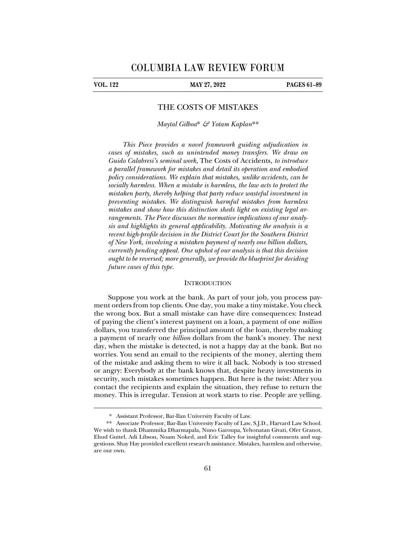j

# **VOL. 122 MAY 27, 2022 PAGES 61–89**

# THE COSTS OF MISTAKES

*Maytal Gilboa*\* *& Yotam Kaplan*\*\*

*This Piece provides a novel framework guiding adjudication in cases of mistakes, such as unintended money transfers. We draw on Guido Calabresi's seminal work,* The Costs of Accidents*, to introduce a parallel framework for mistakes and detail its operation and embodied policy considerations. We explain that mistakes, unlike accidents, can be socially harmless. When a mistake is harmless, the law acts to protect the mistaken party, thereby helping that party reduce wasteful investment in preventing mistakes. We distinguish harmful mistakes from harmless mistakes and show how this distinction sheds light on existing legal arrangements. The Piece discusses the normative implications of our analysis and highlights its general applicability. Motivating the analysis is a recent high-profile decision in the District Court for the Southern District of New York, involving a mistaken payment of nearly one billion dollars, currently pending appeal. One upshot of our analysis is that this decision ought to be reversed; more generally, we provide the blueprint for deciding future cases of this type.* 

### **INTRODUCTION**

Suppose you work at the bank. As part of your job, you process payment orders from top clients. One day, you make a tiny mistake. You check the wrong box. But a small mistake can have dire consequences: Instead of paying the client's interest payment on a loan, a payment of one *million* dollars, you transferred the principal amount of the loan, thereby making a payment of nearly one *billion* dollars from the bank's money. The next day, when the mistake is detected, is not a happy day at the bank. But no worries. You send an email to the recipients of the money, alerting them of the mistake and asking them to wire it all back. Nobody is too stressed or angry: Everybody at the bank knows that, despite heavy investments in security, such mistakes sometimes happen. But here is the twist: After you contact the recipients and explain the situation, they refuse to return the money. This is irregular. Tension at work starts to rise. People are yelling.

<sup>\*.</sup> Assistant Professor, Bar-Ilan University Faculty of Law.

<sup>\*\*.</sup> Associate Professor, Bar-Ilan University Faculty of Law, S.J.D., Harvard Law School. We wish to thank Dhammika Dharmapala, Nuno Garoupa, Yehonatan Givati, Ofer Granot, Ehud Guttel, Adi Libson, Noam Noked, and Eric Talley for insightful comments and suggestions. Shay Hay provided excellent research assistance. Mistakes, harmless and otherwise, are our own.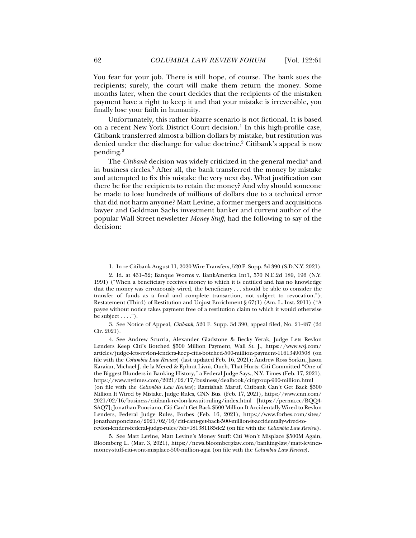You fear for your job. There is still hope, of course. The bank sues the recipients; surely, the court will make them return the money. Some months later, when the court decides that the recipients of the mistaken payment have a right to keep it and that your mistake is irreversible, you finally lose your faith in humanity.

Unfortunately, this rather bizarre scenario is not fictional. It is based on a recent New York District Court decision.<sup>1</sup> In this high-profile case, Citibank transferred almost a billion dollars by mistake, but restitution was denied under the discharge for value doctrine.<sup>2</sup> Citibank's appeal is now pending.3

The *Citibank* decision was widely criticized in the general media<sup>4</sup> and in business circles.<sup>5</sup> After all, the bank transferred the money by mistake and attempted to fix this mistake the very next day. What justification can there be for the recipients to retain the money? And why should someone be made to lose hundreds of millions of dollars due to a technical error that did not harm anyone? Matt Levine, a former mergers and acquisitions lawyer and Goldman Sachs investment banker and current author of the popular Wall Street newsletter *Money Stuff*, had the following to say of the decision:

3. See Notice of Appeal, *Citibank*, 520 F. Supp. 3d 390, appeal filed, No. 21-487 (2d Cir. 2021).

 5. See Matt Levine, Matt Levine's Money Stuff: Citi Won't Misplace \$500M Again, Bloomberg L. (Mar. 3, 2021), https://news.bloomberglaw.com/banking-law/matt-levinesmoney-stuff-citi-wont-misplace-500-million-agai (on file with the *Columbia Law Review*).

 <sup>1.</sup> In re Citibank August 11, 2020 Wire Transfers, 520 F. Supp. 3d 390 (S.D.N.Y. 2021).

 <sup>2.</sup> Id. at 431–52; Banque Worms v. BankAmerica Int'l, 570 N.E.2d 189, 196 (N.Y. 1991) ("When a beneficiary receives money to which it is entitled and has no knowledge that the money was erroneously wired, the beneficiary . . . should be able to consider the transfer of funds as a final and complete transaction, not subject to revocation."); Restatement (Third) of Restitution and Unjust Enrichment § 67(1) (Am. L. Inst. 2011) ("A payee without notice takes payment free of a restitution claim to which it would otherwise be subject  $\dots$ .").

 <sup>4.</sup> See Andrew Scurria, Alexander Gladstone & Becky Yerak, Judge Lets Revlon Lenders Keep Citi's Botched \$500 Million Payment, Wall St. J., https://www.wsj.com/ articles/judge-lets-revlon-lenders-keep-citis-botched-500-million-payment-11613490508 (on file with the *Columbia Law Review*) (last updated Feb. 16, 2021); Andrew Ross Sorkin, Jason Karaian, Michael J. de la Mered & Ephrat Livni, Ouch, That Hurts: Citi Committed "One of the Biggest Blunders in Banking History," a Federal Judge Says., N.Y. Times (Feb. 17, 2021), https://www.nytimes.com/2021/02/17/business/dealbook/citigroup-900-million.html (on file with the *Columbia Law Review*); Ramishah Maruf, Citibank Can't Get Back \$500 Million It Wired by Mistake, Judge Rules, CNN Bus. (Feb. 17, 2021), https://www.cnn.com/ 2021/02/16/business/citibank-revlon-lawsuit-ruling/index.html [https://perma.cc/BQQ4- SAQ7]; Jonathan Ponciano, Citi Can't Get Back \$500 Million It Accidentally Wired to Revlon Lenders, Federal Judge Rules, Forbes (Feb. 16, 2021), https://www.forbes.com/sites/ jonathanponciano/2021/02/16/citi-cant-get-back-500-million-it-accidentally-wired-torevlon-lenders-federal-judge-rules/?sh=181381185de2 (on file with the *Columbia Law Review*).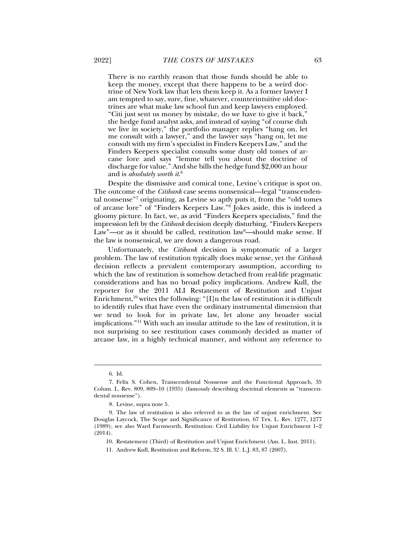There is no earthly reason that those funds should be able to keep the money, except that there happens to be a weird doctrine of New York law that lets them keep it. As a former lawyer I am tempted to say, sure, fine, whatever, counterintuitive old doctrines are what make law school fun and keep lawyers employed. "Citi just sent us money by mistake, do we have to give it back," the hedge fund analyst asks, and instead of saying "of course duh we live in society," the portfolio manager replies "hang on, let me consult with a lawyer," and the lawyer says "hang on, let me consult with my firm's specialist in Finders Keepers Law," and the Finders Keepers specialist consults some dusty old tomes of arcane lore and says "lemme tell you about the doctrine of discharge for value." And she bills the hedge fund \$2,000 an hour and is *absolutely worth it*. 6

Despite the dismissive and comical tone, Levine's critique is spot on. The outcome of the *Citibank* case seems nonsensical—legal "transcendental nonsense"7 originating, as Levine so aptly puts it, from the "old tomes of arcane lore" of "Finders Keepers Law."8 Jokes aside, this is indeed a gloomy picture. In fact, we, as avid "Finders Keepers specialists," find the impression left by the *Citibank* decision deeply disturbing. "Finders Keepers Law"—or as it should be called, restitution law<sup>9</sup>—should make sense. If the law is nonsensical, we are down a dangerous road.

Unfortunately, the *Citibank* decision is symptomatic of a larger problem. The law of restitution typically does make sense, yet the *Citibank* decision reflects a prevalent contemporary assumption, according to which the law of restitution is somehow detached from real-life pragmatic considerations and has no broad policy implications. Andrew Kull, the reporter for the 2011 ALI Restatement of Restitution and Unjust Enrichment,<sup>10</sup> writes the following: "[I]n the law of restitution it is difficult to identify rules that have even the ordinary instrumental dimension that we tend to look for in private law, let alone any broader social implications."11 With such an insular attitude to the law of restitution, it is not surprising to see restitution cases commonly decided as matter of arcane law, in a highly technical manner, and without any reference to

 $\ddot{ }$ 

 <sup>6.</sup> Id.

 <sup>7.</sup> Felix S. Cohen, Transcendental Nonsense and the Functional Approach, 35 Colum. L. Rev. 809, 809–10 (1935) (famously describing doctrinal elements as "transcendental nonsense").

<sup>8.</sup> Levine, supra note 5.

 <sup>9.</sup> The law of restitution is also referred to as the law of unjust enrichment. See Douglas Laycock, The Scope and Significance of Restitution, 67 Tex. L. Rev. 1277, 1277 (1989); see also Ward Farnsworth, Restitution: Civil Liability for Unjust Enrichment 1–2 (2014).

 <sup>10.</sup> Restatement (Third) of Restitution and Unjust Enrichment (Am. L. Inst. 2011).

 <sup>11.</sup> Andrew Kull, Restitution and Reform, 32 S. Ill. U. L.J. 83, 87 (2007).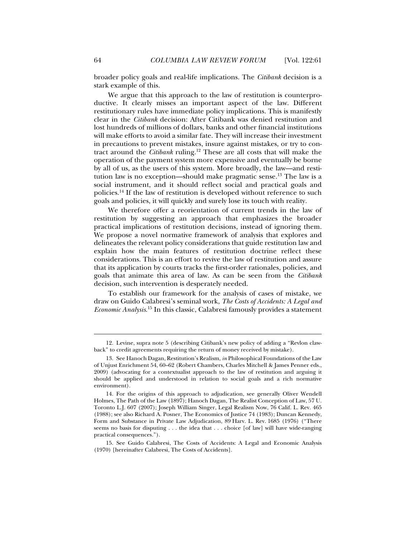broader policy goals and real-life implications. The *Citibank* decision is a stark example of this.

We argue that this approach to the law of restitution is counterproductive. It clearly misses an important aspect of the law. Different restitutionary rules have immediate policy implications. This is manifestly clear in the *Citibank* decision: After Citibank was denied restitution and lost hundreds of millions of dollars, banks and other financial institutions will make efforts to avoid a similar fate. They will increase their investment in precautions to prevent mistakes, insure against mistakes, or try to contract around the *Citibank* ruling.12 These are all costs that will make the operation of the payment system more expensive and eventually be borne by all of us, as the users of this system. More broadly, the law—and restitution law is no exception—should make pragmatic sense.<sup>13</sup> The law is a social instrument, and it should reflect social and practical goals and policies.14 If the law of restitution is developed without reference to such goals and policies, it will quickly and surely lose its touch with reality.

We therefore offer a reorientation of current trends in the law of restitution by suggesting an approach that emphasizes the broader practical implications of restitution decisions, instead of ignoring them. We propose a novel normative framework of analysis that explores and delineates the relevant policy considerations that guide restitution law and explain how the main features of restitution doctrine reflect these considerations. This is an effort to revive the law of restitution and assure that its application by courts tracks the first-order rationales, policies, and goals that animate this area of law. As can be seen from the *Citibank* decision, such intervention is desperately needed.

To establish our framework for the analysis of cases of mistake, we draw on Guido Calabresi's seminal work, *The Costs of Accidents: A Legal and Economic Analysis*. 15 In this classic, Calabresi famously provides a statement

 <sup>12.</sup> Levine, supra note 5 (describing Citibank's new policy of adding a "Revlon clawback" to credit agreements requiring the return of money received by mistake).

 <sup>13.</sup> See Hanoch Dagan, Restitution's Realism, *in* Philosophical Foundations of the Law of Unjust Enrichment 54, 60–62 (Robert Chambers, Charles Mitchell & James Penner eds., 2009) (advocating for a contextualist approach to the law of restitution and arguing it should be applied and understood in relation to social goals and a rich normative environment).

 <sup>14.</sup> For the origins of this approach to adjudication, see generally Oliver Wendell Holmes, The Path of the Law (1897); Hanoch Dagan, The Realist Conception of Law, 57 U. Toronto L.J. 607 (2007); Joseph William Singer, Legal Realism Now, 76 Calif. L. Rev. 465 (1988); see also Richard A. Posner, The Economics of Justice 74 (1983); Duncan Kennedy, Form and Substance in Private Law Adjudication, 89 Harv. L. Rev. 1685 (1976) ("There seems no basis for disputing . . . the idea that . . . choice [of law] will have wide-ranging practical consequences.").

 <sup>15.</sup> See Guido Calabresi, The Costs of Accidents: A Legal and Economic Analysis (1970) [hereinafter Calabresi, The Costs of Accidents].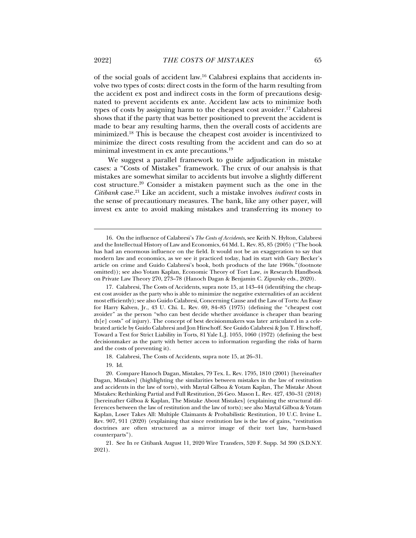of the social goals of accident law.16 Calabresi explains that accidents involve two types of costs: direct costs in the form of the harm resulting from the accident ex post and indirect costs in the form of precautions designated to prevent accidents ex ante. Accident law acts to minimize both types of costs by assigning harm to the cheapest cost avoider.<sup>17</sup> Calabresi shows that if the party that was better positioned to prevent the accident is made to bear any resulting harms, then the overall costs of accidents are minimized.18 This is because the cheapest cost avoider is incentivized to minimize the direct costs resulting from the accident and can do so at minimal investment in ex ante precautions.19

We suggest a parallel framework to guide adjudication in mistake cases: a "Costs of Mistakes" framework. The crux of our analysis is that mistakes are somewhat similar to accidents but involve a slightly different cost structure.20 Consider a mistaken payment such as the one in the *Citibank* case.21 Like an accident, such a mistake involves *indirect* costs in the sense of precautionary measures. The bank, like any other payer, will invest ex ante to avoid making mistakes and transferring its money to

18. Calabresi, The Costs of Accidents, supra note 15, at 26–31.

19. Id.

 <sup>16.</sup> On the influence of Calabresi's *The Costs of Accidents*, see Keith N. Hylton, Calabresi and the Intellectual History of Law and Economics, 64 Md. L. Rev. 85, 85 (2005) ("The book has had an enormous influence on the field. It would not be an exaggeration to say that modern law and economics, as we see it practiced today, had its start with Gary Becker's article on crime and Guido Calabresi's book, both products of the late 1960s."(footnote omitted)); see also Yotam Kaplan, Economic Theory of Tort Law, *in* Research Handbook on Private Law Theory 270, 273–78 (Hanoch Dagan & Benjamin C. Zipursky eds., 2020).

 <sup>17.</sup> Calabresi, The Costs of Accidents, supra note 15, at 143–44 (identifying the cheapest cost avoider as the party who is able to minimize the negative externalities of an accident most efficiently); see also Guido Calabresi, Concerning Cause and the Law of Torts: An Essay for Harry Kalven, Jr., 43 U. Chi. L. Rev. 69, 84–85 (1975) (defining the "cheapest cost avoider" as the person "who can best decide whether avoidance is cheaper than bearing th[e] costs" of injury). The concept of best decisionmakers was later articulated in a celebrated article by Guido Calabresi and Jon Hirschoff. See Guido Calabresi & Jon T. Hirschoff, Toward a Test for Strict Liability in Torts, 81 Yale L.J. 1055, 1060 (1972) (defining the best decisionmaker as the party with better access to information regarding the risks of harm and the costs of preventing it).

 <sup>20.</sup> Compare Hanoch Dagan, Mistakes, 79 Tex. L. Rev. 1795, 1810 (2001) [hereinafter Dagan, Mistakes] (highlighting the similarities between mistakes in the law of restitution and accidents in the law of torts), with Maytal Gilboa & Yotam Kaplan, The Mistake About Mistakes: Rethinking Partial and Full Restitution, 26 Geo. Mason L. Rev. 427, 430–31 (2018) [hereinafter Gilboa & Kaplan, The Mistake About Mistakes] (explaining the structural differences between the law of restitution and the law of torts); see also Maytal Gilboa & Yotam Kaplan, Loser Takes All: Multiple Claimants & Probabilistic Restitution, 10 U.C. Irvine L. Rev. 907, 911 (2020) (explaining that since restitution law is the law of gains, "restitution doctrines are often structured as a mirror image of their tort law, harm-based counterparts").

 <sup>21.</sup> See In re Citibank August 11, 2020 Wire Transfers, 520 F. Supp. 3d 390 (S.D.N.Y. 2021).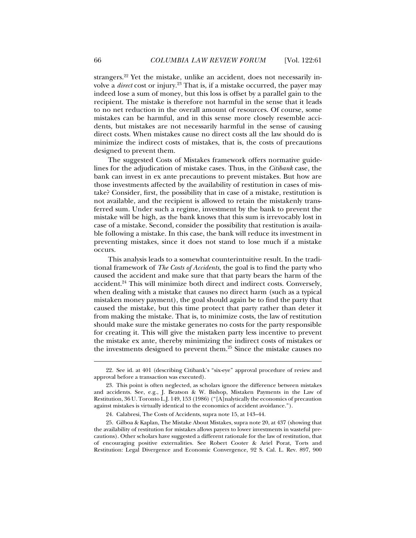strangers.22 Yet the mistake, unlike an accident, does not necessarily involve a *direct* cost or injury.23 That is, if a mistake occurred, the payer may indeed lose a sum of money, but this loss is offset by a parallel gain to the recipient. The mistake is therefore not harmful in the sense that it leads to no net reduction in the overall amount of resources. Of course, some mistakes can be harmful, and in this sense more closely resemble accidents, but mistakes are not necessarily harmful in the sense of causing direct costs. When mistakes cause no direct costs all the law should do is minimize the indirect costs of mistakes, that is, the costs of precautions designed to prevent them.

The suggested Costs of Mistakes framework offers normative guidelines for the adjudication of mistake cases. Thus, in the *Citibank* case, the bank can invest in ex ante precautions to prevent mistakes. But how are those investments affected by the availability of restitution in cases of mistake? Consider, first, the possibility that in case of a mistake, restitution is not available, and the recipient is allowed to retain the mistakenly transferred sum. Under such a regime, investment by the bank to prevent the mistake will be high, as the bank knows that this sum is irrevocably lost in case of a mistake. Second, consider the possibility that restitution is available following a mistake. In this case, the bank will reduce its investment in preventing mistakes, since it does not stand to lose much if a mistake occurs.

This analysis leads to a somewhat counterintuitive result. In the traditional framework of *The Costs of Accidents*, the goal is to find the party who caused the accident and make sure that that party bears the harm of the accident.24 This will minimize both direct and indirect costs. Conversely, when dealing with a mistake that causes no direct harm (such as a typical mistaken money payment), the goal should again be to find the party that caused the mistake, but this time protect that party rather than deter it from making the mistake. That is, to minimize costs, the law of restitution should make sure the mistake generates no costs for the party responsible for creating it. This will give the mistaken party less incentive to prevent the mistake ex ante, thereby minimizing the indirect costs of mistakes or the investments designed to prevent them.25 Since the mistake causes no

 <sup>22.</sup> See id. at 401 (describing Citibank's "six-eye" approval procedure of review and approval before a transaction was executed).

 <sup>23.</sup> This point is often neglected, as scholars ignore the difference between mistakes and accidents. See, e.g., J. Beatson & W. Bishop, Mistaken Payments in the Law of Restitution, 36 U. Toronto L.J. 149, 153 (1986) ("[A]nalytically the economics of precaution against mistakes is virtually identical to the economics of accident avoidance.").

 <sup>24.</sup> Calabresi, The Costs of Accidents, supra note 15, at 143–44.

 <sup>25.</sup> Gilboa & Kaplan, The Mistake About Mistakes, supra note 20, at 437 (showing that the availability of restitution for mistakes allows payers to lower investments in wasteful precautions). Other scholars have suggested a different rationale for the law of restitution, that of encouraging positive externalities. See Robert Cooter & Ariel Porat, Torts and Restitution: Legal Divergence and Economic Convergence, 92 S. Cal. L. Rev. 897, 900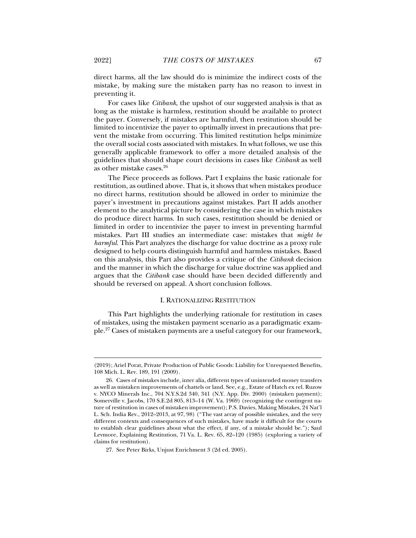direct harms, all the law should do is minimize the indirect costs of the mistake, by making sure the mistaken party has no reason to invest in preventing it.

For cases like *Citibank*, the upshot of our suggested analysis is that as long as the mistake is harmless, restitution should be available to protect the payer. Conversely, if mistakes are harmful, then restitution should be limited to incentivize the payer to optimally invest in precautions that prevent the mistake from occurring. This limited restitution helps minimize the overall social costs associated with mistakes. In what follows, we use this generally applicable framework to offer a more detailed analysis of the guidelines that should shape court decisions in cases like *Citibank* as well as other mistake cases.26

The Piece proceeds as follows. Part I explains the basic rationale for restitution, as outlined above. That is, it shows that when mistakes produce no direct harms, restitution should be allowed in order to minimize the payer's investment in precautions against mistakes. Part II adds another element to the analytical picture by considering the case in which mistakes do produce direct harms. In such cases, restitution should be denied or limited in order to incentivize the payer to invest in preventing harmful mistakes. Part III studies an intermediate case: mistakes that *might be harmful*. This Part analyzes the discharge for value doctrine as a proxy rule designed to help courts distinguish harmful and harmless mistakes. Based on this analysis, this Part also provides a critique of the *Citibank* decision and the manner in which the discharge for value doctrine was applied and argues that the *Citibank* case should have been decided differently and should be reversed on appeal. A short conclusion follows.

# I. RATIONALIZING RESTITUTION

This Part highlights the underlying rationale for restitution in cases of mistakes, using the mistaken payment scenario as a paradigmatic example.27 Cases of mistaken payments are a useful category for our framework,

<sup>(2019);</sup> Ariel Porat, Private Production of Public Goods: Liability for Unrequested Benefits, 108 Mich. L. Rev. 189, 191 (2009).

 <sup>26.</sup> Cases of mistakes include, inter alia, different types of unintended money transfers as well as mistaken improvements of chattels or land. See, e.g., Estate of Hatch ex rel. Ruzow v. NYCO Minerals Inc., 704 N.Y.S.2d 340, 341 (N.Y. App. Div. 2000) (mistaken payment); Somerville v. Jacobs, 170 S.E.2d 805, 813–14 (W. Va. 1969) (recognizing the contingent nature of restitution in cases of mistaken improvement); P.S. Davies, Making Mistakes, 24 Nat'l L. Sch. India Rev., 2012–2013, at 97, 98) ("The vast array of possible mistakes, and the very different contexts and consequences of such mistakes, have made it difficult for the courts to establish clear guidelines about what the effect, if any, of a mistake should be."); Saul Levmore, Explaining Restitution, 71 Va. L. Rev. 65, 82–120 (1985) (exploring a variety of claims for restitution).

 <sup>27.</sup> See Peter Birks, Unjust Enrichment 3 (2d ed. 2005).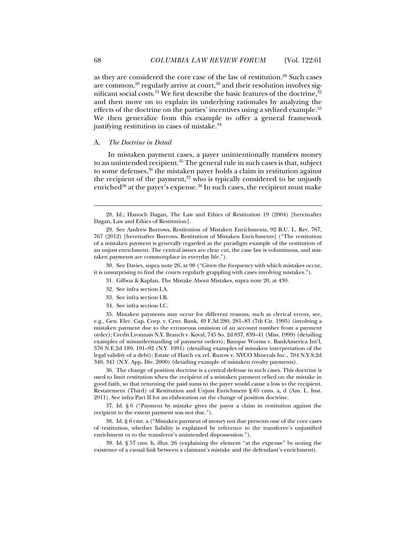as they are considered the core case of the law of restitution.28 Such cases are common,<sup>29</sup> regularly arrive at court,<sup>30</sup> and their resolution involves significant social costs.<sup>31</sup> We first describe the basic features of the doctrine,<sup>32</sup> and then move on to explain its underlying rationales by analyzing the effects of the doctrine on the parties' incentives using a stylized example.<sup>33</sup> We then generalize from this example to offer a general framework justifying restitution in cases of mistake.<sup>34</sup>

# A. *The Doctrine in Detail*

In mistaken payment cases, a payer unintentionally transfers money to an unintended recipient.<sup>35</sup> The general rule in such cases is that, subject to some defenses,<sup>36</sup> the mistaken payer holds a claim in restitution against the recipient of the payment, $37$  who is typically considered to be unjustly enriched<sup>38</sup> at the payer's expense.<sup>39</sup> In such cases, the recipient must make

 30. See Davies, supra note 26, at 98 ("Given the frequency with which mistakes occur, it is unsurprising to find the courts regularly grappling with cases involving mistakes.").

- 31. Gilboa & Kaplan, The Mistake About Mistakes, supra note 20, at 430.
- 32. See infra section I.A.
- 33. See infra section I.B.
- 34. See infra section I.C.

 35. Mistaken payments may occur for different reasons, such as clerical errors, see, e.g., Gen. Elec. Cap. Corp. v. Cent. Bank, 49 F.3d 280, 281–83 (7th Cir. 1995) (involving a mistaken payment due to the erroneous omission of an account number from a payment order); Credit Lyonnais N.Y. Branch v. Koval, 745 So. 2d 837, 839–41 (Miss. 1999) (detailing examples of misunderstanding of payment orders); Banque Worms v. BankAmerica Int'l, 570 N.E.2d 189, 191–92 (N.Y. 1991) (detailing examples of mistaken interpretation of the legal validity of a debt); Estate of Hatch ex rel. Ruzow v. NYCO Minerals Inc., 704 N.Y.S.2d 340, 341 (N.Y. App. Div. 2000) (detailing example of mistaken royalty payments).

 36. The change of position doctrine is a central defense in such cases. This doctrine is used to limit restitution when the recipient of a mistaken payment relied on the mistake in good faith, so that returning the paid sums to the payer would cause a loss to the recipient. Restatement (Third) of Restitution and Unjust Enrichment § 65 cmts. a, d (Am. L. Inst. 2011). See infra Part II for an elaboration on the change of position doctrine.

 37. Id. § 6 ("Payment by mistake gives the payor a claim in restitution against the recipient to the extent payment was not due.").

 38. Id. § 6 cmt. a ("Mistaken payment of money not due presents one of the core cases of restitution, whether liability is explained by reference to the transferee's unjustified enrichment or to the transferor's unintended dispossession.").

 39. Id. § 57 cmt. h, illus. 26 (explaining the element "at the expense" by noting the existence of a causal link between a claimant's mistake and the defendant's enrichment).

 <sup>28.</sup> Id.; Hanoch Dagan, The Law and Ethics of Restitution 19 (2004) [hereinafter Dagan, Law and Ethics of Restitution].

 <sup>29.</sup> See Andrew Burrows, Restitution of Mistaken Enrichments, 92 B.U. L. Rev. 767, 767 (2012) [hereinafter Burrows, Restitution of Mistaken Enrichments] ("The restitution of a mistaken payment is generally regarded as the paradigm example of the restitution of an unjust enrichment. The central issues are clear cut, the case law is voluminous, and mistaken payments are commonplace in everyday life.").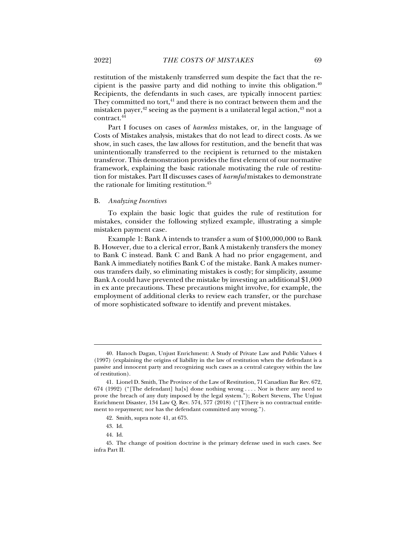restitution of the mistakenly transferred sum despite the fact that the recipient is the passive party and did nothing to invite this obligation. $40$ Recipients, the defendants in such cases, are typically innocent parties: They committed no tort, $41$  and there is no contract between them and the mistaken payer, $42$  seeing as the payment is a unilateral legal action, $43$  not a contract.44

Part I focuses on cases of *harmless* mistakes, or, in the language of Costs of Mistakes analysis, mistakes that do not lead to direct costs. As we show, in such cases, the law allows for restitution, and the benefit that was unintentionally transferred to the recipient is returned to the mistaken transferor. This demonstration provides the first element of our normative framework, explaining the basic rationale motivating the rule of restitution for mistakes. Part II discusses cases of *harmful* mistakes to demonstrate the rationale for limiting restitution.45

# B. *Analyzing Incentives*

To explain the basic logic that guides the rule of restitution for mistakes, consider the following stylized example, illustrating a simple mistaken payment case.

Example 1: Bank A intends to transfer a sum of \$100,000,000 to Bank B. However, due to a clerical error, Bank A mistakenly transfers the money to Bank C instead. Bank C and Bank A had no prior engagement, and Bank A immediately notifies Bank C of the mistake. Bank A makes numerous transfers daily, so eliminating mistakes is costly; for simplicity, assume Bank A could have prevented the mistake by investing an additional \$1,000 in ex ante precautions. These precautions might involve, for example, the employment of additional clerks to review each transfer, or the purchase of more sophisticated software to identify and prevent mistakes.

 $\ddot{ }$ 

 <sup>40.</sup> Hanoch Dagan, Unjust Enrichment: A Study of Private Law and Public Values 4 (1997) (explaining the origins of liability in the law of restitution when the defendant is a passive and innocent party and recognizing such cases as a central category within the law of restitution).

 <sup>41.</sup> Lionel D. Smith, The Province of the Law of Restitution, 71 Canadian Bar Rev. 672, 674 (1992) ("[The defendant] ha[s] done nothing wrong ... . Nor is there any need to prove the breach of any duty imposed by the legal system."); Robert Stevens, The Unjust Enrichment Disaster, 134 Law Q. Rev. 574, 577 (2018) ("[T]here is no contractual entitlement to repayment; nor has the defendant committed any wrong.").

 <sup>42.</sup> Smith, supra note 41, at 675.

 <sup>43.</sup> Id.

 <sup>44.</sup> Id.

 <sup>45.</sup> The change of position doctrine is the primary defense used in such cases. See infra Part II.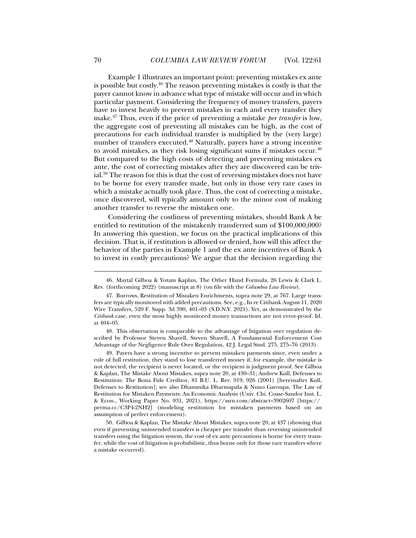Example 1 illustrates an important point: preventing mistakes ex ante is possible but costly.46 The reason preventing mistakes is costly is that the payer cannot know in advance what type of mistake will occur and in which particular payment. Considering the frequency of money transfers, payers have to invest heavily to prevent mistakes in each and every transfer they make.47 Thus, even if the price of preventing a mistake *per transfer* is low, the aggregate cost of preventing all mistakes can be high, as the cost of precautions for each individual transfer is multiplied by the (very large) number of transfers executed.48 Naturally, payers have a strong incentive to avoid mistakes, as they risk losing significant sums if mistakes occur.<sup>49</sup> But compared to the high costs of detecting and preventing mistakes ex ante, the cost of correcting mistakes after they are discovered can be trivial.50 The reason for this is that the cost of reversing mistakes does not have to be borne for every transfer made, but only in those very rare cases in which a mistake actually took place. Thus, the cost of correcting a mistake, once discovered, will typically amount only to the minor cost of making another transfer to reverse the mistaken one.

Considering the costliness of preventing mistakes, should Bank A be entitled to restitution of the mistakenly transferred sum of \$100,000,000? In answering this question, we focus on the practical implications of this decision. That is, if restitution is allowed or denied, how will this affect the behavior of the parties in Example 1 and the ex ante incentives of Bank A to invest in costly precautions? We argue that the decision regarding the

 48. This observation is comparable to the advantage of litigation over regulation described by Professor Steven Shavell. Steven Shavell, A Fundamental Enforcement Cost Advantage of the Negligence Rule Over Regulation, 42 J. Legal Stud. 275, 275–76 (2013).

 49. Payers have a strong incentive to prevent mistaken payments since, even under a rule of full restitution, they stand to lose transferred money if, for example, the mistake is not detected, the recipient is never located, or the recipient is judgment proof. See Gilboa & Kaplan, The Mistake About Mistakes, supra note 20, at 430–31; Andrew Kull, Defenses to Restitution: The Bona Fide Creditor, 81 B.U. L. Rev. 919, 926 (2001) [hereinafter Kull, Defenses to Restitution]; see also Dhammika Dharmapala & Nuno Garoupa, The Law of Restitution for Mistaken Payments: An Economic Analysis (Univ. Chi. Coase-Sandor Inst. L. & Econ., Working Paper No. 931, 2021), https://ssrn.com/abstract=3902607 [https:// perma.cc/C3P4-2NH2] (modeling restitution for mistaken payments based on an assumption of perfect enforcement).

 50. Gilboa & Kaplan, The Mistake About Mistakes, supra note 20, at 437 (showing that even if preventing unintended transfers is cheaper per transfer than reversing unintended transfers using the litigation system, the cost of ex ante precautions is borne for every transfer, while the cost of litigation is probabilistic, thus borne only for those rare transfers where a mistake occurred).

 <sup>46.</sup> Maytal Gilboa & Yotam Kaplan, The Other Hand Formula, 26 Lewis & Clark L. Rev. (forthcoming 2022) (manuscript at 8) (on file with the *Columbia Law Review*).

 <sup>47.</sup> Burrows, Restitution of Mistaken Enrichments, supra note 29, at 767. Large transfers are typically monitored with added precautions. See, e.g., In re Citibank August 11, 2020 Wire Transfers, 520 F. Supp. 3d 390, 401–03 (S.D.N.Y. 2021). Yet, as demonstrated by the *Citibank* case, even the most highly monitored money transactions are not error-proof. Id. at 404–05.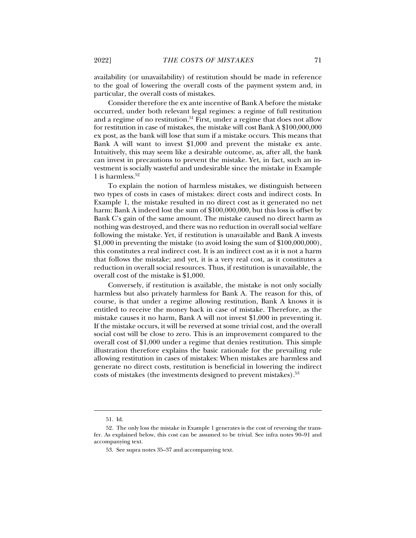availability (or unavailability) of restitution should be made in reference to the goal of lowering the overall costs of the payment system and, in particular, the overall costs of mistakes.

Consider therefore the ex ante incentive of Bank A before the mistake occurred, under both relevant legal regimes: a regime of full restitution and a regime of no restitution.<sup>51</sup> First, under a regime that does not allow for restitution in case of mistakes, the mistake will cost Bank A \$100,000,000 ex post, as the bank will lose that sum if a mistake occurs. This means that Bank A will want to invest \$1,000 and prevent the mistake ex ante. Intuitively, this may seem like a desirable outcome, as, after all, the bank can invest in precautions to prevent the mistake. Yet, in fact, such an investment is socially wasteful and undesirable since the mistake in Example 1 is harmless. $52$ 

To explain the notion of harmless mistakes, we distinguish between two types of costs in cases of mistakes: direct costs and indirect costs. In Example 1, the mistake resulted in no direct cost as it generated no net harm: Bank A indeed lost the sum of \$100,000,000, but this loss is offset by Bank C's gain of the same amount. The mistake caused no direct harm as nothing was destroyed, and there was no reduction in overall social welfare following the mistake. Yet, if restitution is unavailable and Bank A invests  $$1,000$  in preventing the mistake (to avoid losing the sum of  $$100,000,000$ ), this constitutes a real indirect cost. It is an indirect cost as it is not a harm that follows the mistake; and yet, it is a very real cost, as it constitutes a reduction in overall social resources. Thus, if restitution is unavailable, the overall cost of the mistake is \$1,000.

Conversely, if restitution is available, the mistake is not only socially harmless but also privately harmless for Bank A. The reason for this, of course, is that under a regime allowing restitution, Bank A knows it is entitled to receive the money back in case of mistake. Therefore, as the mistake causes it no harm, Bank A will not invest \$1,000 in preventing it. If the mistake occurs, it will be reversed at some trivial cost, and the overall social cost will be close to zero. This is an improvement compared to the overall cost of \$1,000 under a regime that denies restitution. This simple illustration therefore explains the basic rationale for the prevailing rule allowing restitution in cases of mistakes: When mistakes are harmless and generate no direct costs, restitution is beneficial in lowering the indirect costs of mistakes (the investments designed to prevent mistakes).53

 <sup>51.</sup> Id.

 <sup>52.</sup> The only loss the mistake in Example 1 generates is the cost of reversing the transfer. As explained below, this cost can be assumed to be trivial. See infra notes 90–91 and accompanying text.

 <sup>53.</sup> See supra notes 35–37 and accompanying text.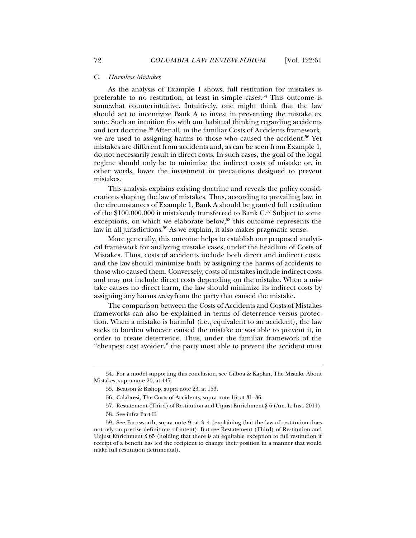#### C. *Harmless Mistakes*

As the analysis of Example 1 shows, full restitution for mistakes is preferable to no restitution, at least in simple cases.<sup>54</sup> This outcome is somewhat counterintuitive. Intuitively, one might think that the law should act to incentivize Bank A to invest in preventing the mistake ex ante. Such an intuition fits with our habitual thinking regarding accidents and tort doctrine.55 After all, in the familiar Costs of Accidents framework, we are used to assigning harms to those who caused the accident.<sup>56</sup> Yet mistakes are different from accidents and, as can be seen from Example 1, do not necessarily result in direct costs. In such cases, the goal of the legal regime should only be to minimize the indirect costs of mistake or, in other words, lower the investment in precautions designed to prevent mistakes.

This analysis explains existing doctrine and reveals the policy considerations shaping the law of mistakes. Thus, according to prevailing law, in the circumstances of Example 1, Bank A should be granted full restitution of the \$100,000,000 it mistakenly transferred to Bank C.<sup>57</sup> Subject to some exceptions, on which we elaborate below,<sup>58</sup> this outcome represents the law in all jurisdictions.<sup>59</sup> As we explain, it also makes pragmatic sense.

More generally, this outcome helps to establish our proposed analytical framework for analyzing mistake cases, under the headline of Costs of Mistakes. Thus, costs of accidents include both direct and indirect costs, and the law should minimize both by assigning the harms of accidents to those who caused them. Conversely, costs of mistakes include indirect costs and may not include direct costs depending on the mistake. When a mistake causes no direct harm, the law should minimize its indirect costs by assigning any harms *away* from the party that caused the mistake.

The comparison between the Costs of Accidents and Costs of Mistakes frameworks can also be explained in terms of deterrence versus protection. When a mistake is harmful (i.e., equivalent to an accident), the law seeks to burden whoever caused the mistake or was able to prevent it, in order to create deterrence. Thus, under the familiar framework of the "cheapest cost avoider," the party most able to prevent the accident must

57. Restatement (Third) of Restitution and Unjust Enrichment § 6 (Am. L. Inst. 2011).

 $\ddot{ }$ 

 <sup>54.</sup> For a model supporting this conclusion, see Gilboa & Kaplan, The Mistake About Mistakes, supra note 20, at 447.

 <sup>55.</sup> Beatson & Bishop, supra note 23, at 153.

 <sup>56.</sup> Calabresi, The Costs of Accidents, supra note 15, at 31–36.

 <sup>58.</sup> See infra Part II.

 <sup>59.</sup> See Farnsworth, supra note 9, at 3–4 (explaining that the law of restitution does not rely on precise definitions of intent). But see Restatement (Third) of Restitution and Unjust Enrichment § 65 (holding that there is an equitable exception to full restitution if receipt of a benefit has led the recipient to change their position in a manner that would make full restitution detrimental).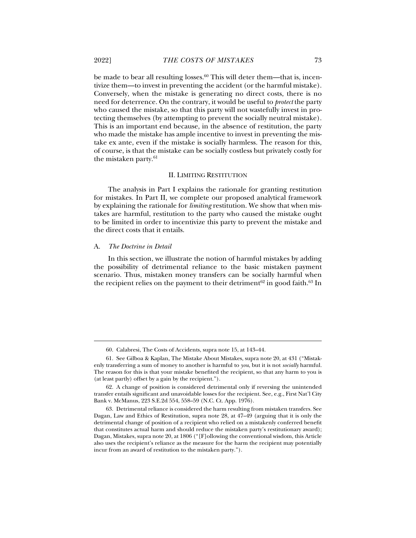be made to bear all resulting losses.60 This will deter them—that is, incentivize them—to invest in preventing the accident (or the harmful mistake). Conversely, when the mistake is generating no direct costs, there is no need for deterrence. On the contrary, it would be useful to *protect* the party who caused the mistake, so that this party will not wastefully invest in protecting themselves (by attempting to prevent the socially neutral mistake). This is an important end because, in the absence of restitution, the party who made the mistake has ample incentive to invest in preventing the mistake ex ante, even if the mistake is socially harmless. The reason for this, of course, is that the mistake can be socially costless but privately costly for the mistaken party.<sup>61</sup>

## II. LIMITING RESTITUTION

The analysis in Part I explains the rationale for granting restitution for mistakes. In Part II, we complete our proposed analytical framework by explaining the rationale for *limiting* restitution. We show that when mistakes are harmful, restitution to the party who caused the mistake ought to be limited in order to incentivize this party to prevent the mistake and the direct costs that it entails.

#### A. *The Doctrine in Detail*

j

In this section, we illustrate the notion of harmful mistakes by adding the possibility of detrimental reliance to the basic mistaken payment scenario. Thus, mistaken money transfers can be socially harmful when the recipient relies on the payment to their detriment<sup>62</sup> in good faith.<sup>63</sup> In

 <sup>60.</sup> Calabresi, The Costs of Accidents, supra note 15, at 143–44.

 <sup>61.</sup> See Gilboa & Kaplan, The Mistake About Mistakes, supra note 20, at 431 ("Mistakenly transferring a sum of money to another is harmful to *you*, but it is not *socially* harmful. The reason for this is that your mistake benefited the recipient, so that any harm to you is (at least partly) offset by a gain by the recipient.").

 <sup>62.</sup> A change of position is considered detrimental only if reversing the unintended transfer entails significant and unavoidable losses for the recipient. See, e.g., First Nat'l City Bank v. McManus, 223 S.E.2d 554, 558–59 (N.C. Ct. App. 1976).

 <sup>63.</sup> Detrimental reliance is considered the harm resulting from mistaken transfers. See Dagan, Law and Ethics of Restitution, supra note 28, at 47–49 (arguing that it is only the detrimental change of position of a recipient who relied on a mistakenly conferred benefit that constitutes actual harm and should reduce the mistaken party's restitutionary award); Dagan, Mistakes, supra note 20, at 1806 ("[F]ollowing the conventional wisdom, this Article also uses the recipient's reliance as the measure for the harm the recipient may potentially incur from an award of restitution to the mistaken party.").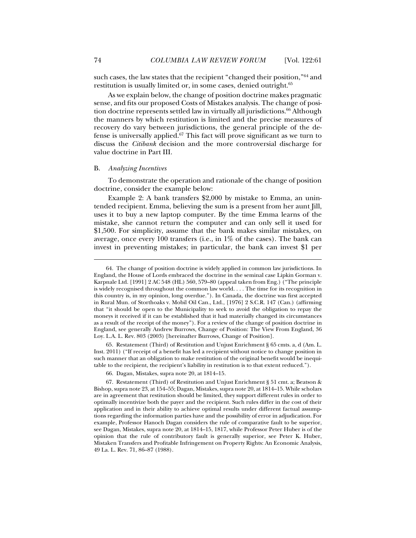such cases, the law states that the recipient "changed their position,"64 and restitution is usually limited or, in some cases, denied outright.<sup>65</sup>

As we explain below, the change of position doctrine makes pragmatic sense, and fits our proposed Costs of Mistakes analysis. The change of position doctrine represents settled law in virtually all jurisdictions.<sup>66</sup> Although the manners by which restitution is limited and the precise measures of recovery do vary between jurisdictions, the general principle of the defense is universally applied.67 This fact will prove significant as we turn to discuss the *Citibank* decision and the more controversial discharge for value doctrine in Part III.

## B. *Analyzing Incentives*

To demonstrate the operation and rationale of the change of position doctrine, consider the example below:

Example 2: A bank transfers \$2,000 by mistake to Emma, an unintended recipient. Emma, believing the sum is a present from her aunt Jill, uses it to buy a new laptop computer. By the time Emma learns of the mistake, she cannot return the computer and can only sell it used for \$1,500. For simplicity, assume that the bank makes similar mistakes, on average, once every 100 transfers (i.e., in 1% of the cases). The bank can invest in preventing mistakes; in particular, the bank can invest \$1 per

 65. Restatement (Third) of Restitution and Unjust Enrichment § 65 cmts. a, d (Am. L. Inst. 2011) ("If receipt of a benefit has led a recipient without notice to change position in such manner that an obligation to make restitution of the original benefit would be inequitable to the recipient, the recipient's liability in restitution is to that extent reduced.").

 <sup>64.</sup> The change of position doctrine is widely applied in common law jurisdictions. In England, the House of Lords embraced the doctrine in the seminal case Lipkin Gorman v. Karpnale Ltd. [1991] 2 AC 548 (HL) 560, 579–80 (appeal taken from Eng.) ("The principle is widely recognised throughout the common law world. . . . The time for its recognition in this country is, in my opinion, long overdue."). In Canada, the doctrine was first accepted in Rural Mun. of Storthoaks v. Mobil Oil Can., Ltd., [1976] 2 S.C.R. 147 (Can.) (affirming that "it should be open to the Municipality to seek to avoid the obligation to repay the moneys it received if it can be established that it had materially changed its circumstances as a result of the receipt of the money"). For a review of the change of position doctrine in England, see generally Andrew Burrows, Change of Position: The View From England, 36 Loy. L.A. L. Rev. 803 (2003) [hereinafter Burrows, Change of Position].

 <sup>66.</sup> Dagan, Mistakes, supra note 20, at 1814–15.

 <sup>67.</sup> Restatement (Third) of Restitution and Unjust Enrichment § 51 cmt. a; Beatson & Bishop, supra note 23, at 154–55; Dagan, Mistakes, supra note 20, at 1814–15. While scholars are in agreement that restitution should be limited, they support different rules in order to optimally incentivize both the payer and the recipient. Such rules differ in the cost of their application and in their ability to achieve optimal results under different factual assumptions regarding the information parties have and the possibility of error in adjudication. For example, Professor Hanoch Dagan considers the rule of comparative fault to be superior, see Dagan, Mistakes, supra note 20, at 1814–15, 1817, while Professor Peter Huber is of the opinion that the rule of contributory fault is generally superior, see Peter K. Huber, Mistaken Transfers and Profitable Infringement on Property Rights: An Economic Analysis, 49 La. L. Rev. 71, 86–87 (1988).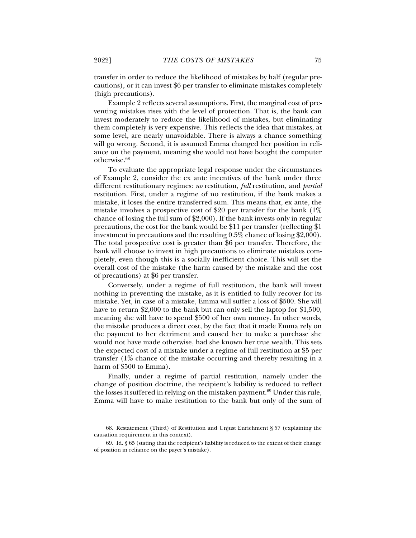transfer in order to reduce the likelihood of mistakes by half (regular precautions), or it can invest \$6 per transfer to eliminate mistakes completely (high precautions).

Example 2 reflects several assumptions. First, the marginal cost of preventing mistakes rises with the level of protection. That is, the bank can invest moderately to reduce the likelihood of mistakes, but eliminating them completely is very expensive. This reflects the idea that mistakes, at some level, are nearly unavoidable. There is always a chance something will go wrong. Second, it is assumed Emma changed her position in reliance on the payment, meaning she would not have bought the computer otherwise.68

To evaluate the appropriate legal response under the circumstances of Example 2, consider the ex ante incentives of the bank under three different restitutionary regimes: *no* restitution, *full* restitution, and *partial* restitution. First, under a regime of no restitution, if the bank makes a mistake, it loses the entire transferred sum. This means that, ex ante, the mistake involves a prospective cost of \$20 per transfer for the bank (1% chance of losing the full sum of \$2,000). If the bank invests only in regular precautions, the cost for the bank would be \$11 per transfer (reflecting \$1 investment in precautions and the resulting 0.5% chance of losing \$2,000). The total prospective cost is greater than \$6 per transfer. Therefore, the bank will choose to invest in high precautions to eliminate mistakes completely, even though this is a socially inefficient choice. This will set the overall cost of the mistake (the harm caused by the mistake and the cost of precautions) at \$6 per transfer.

Conversely, under a regime of full restitution, the bank will invest nothing in preventing the mistake, as it is entitled to fully recover for its mistake. Yet, in case of a mistake, Emma will suffer a loss of \$500. She will have to return \$2,000 to the bank but can only sell the laptop for \$1,500, meaning she will have to spend \$500 of her own money. In other words, the mistake produces a direct cost, by the fact that it made Emma rely on the payment to her detriment and caused her to make a purchase she would not have made otherwise, had she known her true wealth. This sets the expected cost of a mistake under a regime of full restitution at \$5 per transfer (1% chance of the mistake occurring and thereby resulting in a harm of \$500 to Emma).

Finally, under a regime of partial restitution, namely under the change of position doctrine, the recipient's liability is reduced to reflect the losses it suffered in relying on the mistaken payment.<sup>69</sup> Under this rule, Emma will have to make restitution to the bank but only of the sum of

 <sup>68.</sup> Restatement (Third) of Restitution and Unjust Enrichment § 57 (explaining the causation requirement in this context).

 <sup>69.</sup> Id. § 65 (stating that the recipient's liability is reduced to the extent of their change of position in reliance on the payer's mistake).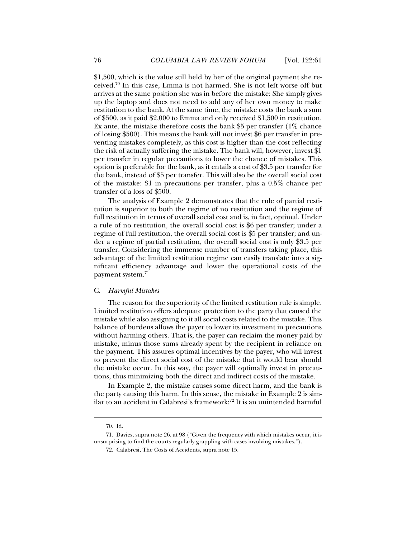\$1,500, which is the value still held by her of the original payment she received.70 In this case, Emma is not harmed. She is not left worse off but arrives at the same position she was in before the mistake: She simply gives up the laptop and does not need to add any of her own money to make restitution to the bank. At the same time, the mistake costs the bank a sum of \$500, as it paid \$2,000 to Emma and only received \$1,500 in restitution. Ex ante, the mistake therefore costs the bank  $$5$  per transfer (1% chance of losing \$500). This means the bank will not invest \$6 per transfer in preventing mistakes completely, as this cost is higher than the cost reflecting the risk of actually suffering the mistake. The bank will, however, invest \$1 per transfer in regular precautions to lower the chance of mistakes. This option is preferable for the bank, as it entails a cost of \$3.5 per transfer for the bank, instead of \$5 per transfer. This will also be the overall social cost of the mistake: \$1 in precautions per transfer, plus a 0.5% chance per transfer of a loss of \$500.

The analysis of Example 2 demonstrates that the rule of partial restitution is superior to both the regime of no restitution and the regime of full restitution in terms of overall social cost and is, in fact, optimal. Under a rule of no restitution, the overall social cost is \$6 per transfer; under a regime of full restitution, the overall social cost is \$5 per transfer; and under a regime of partial restitution, the overall social cost is only \$3.5 per transfer. Considering the immense number of transfers taking place, this advantage of the limited restitution regime can easily translate into a significant efficiency advantage and lower the operational costs of the payment system.71

# C. *Harmful Mistakes*

The reason for the superiority of the limited restitution rule is simple. Limited restitution offers adequate protection to the party that caused the mistake while also assigning to it all social costs related to the mistake. This balance of burdens allows the payer to lower its investment in precautions without harming others. That is, the payer can reclaim the money paid by mistake, minus those sums already spent by the recipient in reliance on the payment. This assures optimal incentives by the payer, who will invest to prevent the direct social cost of the mistake that it would bear should the mistake occur. In this way, the payer will optimally invest in precautions, thus minimizing both the direct and indirect costs of the mistake.

In Example 2, the mistake causes some direct harm, and the bank is the party causing this harm. In this sense, the mistake in Example 2 is similar to an accident in Calabresi's framework:72 It is an unintended harmful

 <sup>70.</sup> Id.

 <sup>71.</sup> Davies, supra note 26, at 98 ("Given the frequency with which mistakes occur, it is unsurprising to find the courts regularly grappling with cases involving mistakes.").

 <sup>72.</sup> Calabresi, The Costs of Accidents, supra note 15.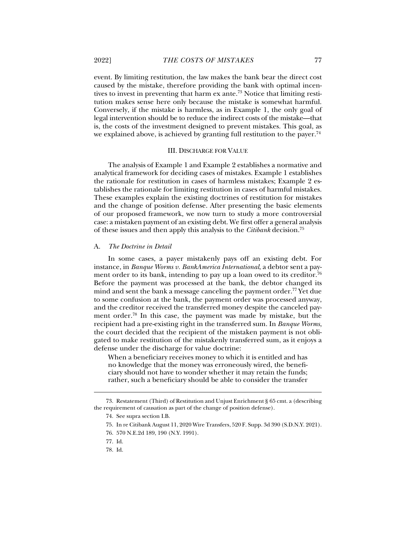event. By limiting restitution, the law makes the bank bear the direct cost caused by the mistake, therefore providing the bank with optimal incentives to invest in preventing that harm ex ante.<sup>73</sup> Notice that limiting restitution makes sense here only because the mistake is somewhat harmful. Conversely, if the mistake is harmless, as in Example 1, the only goal of legal intervention should be to reduce the indirect costs of the mistake—that is, the costs of the investment designed to prevent mistakes. This goal, as we explained above, is achieved by granting full restitution to the payer.<sup>74</sup>

### III. DISCHARGE FOR VALUE

The analysis of Example 1 and Example 2 establishes a normative and analytical framework for deciding cases of mistakes. Example 1 establishes the rationale for restitution in cases of harmless mistakes; Example 2 establishes the rationale for limiting restitution in cases of harmful mistakes. These examples explain the existing doctrines of restitution for mistakes and the change of position defense. After presenting the basic elements of our proposed framework, we now turn to study a more controversial case: a mistaken payment of an existing debt. We first offer a general analysis of these issues and then apply this analysis to the *Citibank* decision.75

#### A. *The Doctrine in Detail*

In some cases, a payer mistakenly pays off an existing debt. For instance, in *Banque Worms v. BankAmerica International*, a debtor sent a payment order to its bank, intending to pay up a loan owed to its creditor.<sup>76</sup> Before the payment was processed at the bank, the debtor changed its mind and sent the bank a message canceling the payment order.<sup>77</sup> Yet due to some confusion at the bank, the payment order was processed anyway, and the creditor received the transferred money despite the canceled payment order.78 In this case, the payment was made by mistake, but the recipient had a pre-existing right in the transferred sum. In *Banque Worms*, the court decided that the recipient of the mistaken payment is not obligated to make restitution of the mistakenly transferred sum, as it enjoys a defense under the discharge for value doctrine:

When a beneficiary receives money to which it is entitled and has no knowledge that the money was erroneously wired, the beneficiary should not have to wonder whether it may retain the funds; rather, such a beneficiary should be able to consider the transfer

 <sup>73.</sup> Restatement (Third) of Restitution and Unjust Enrichment § 65 cmt. a (describing the requirement of causation as part of the change of position defense).

 <sup>74.</sup> See supra section I.B.

 <sup>75.</sup> In re Citibank August 11, 2020 Wire Transfers, 520 F. Supp. 3d 390 (S.D.N.Y. 2021).

 <sup>76. 570</sup> N.E.2d 189, 190 (N.Y. 1991).

 <sup>77.</sup> Id.

 <sup>78.</sup> Id.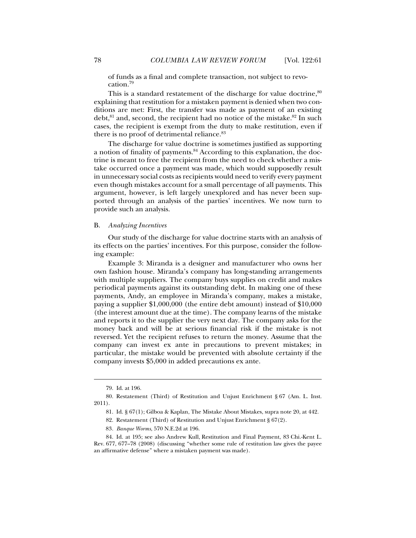of funds as a final and complete transaction, not subject to revocation.79

This is a standard restatement of the discharge for value doctrine, $80$ explaining that restitution for a mistaken payment is denied when two conditions are met: First, the transfer was made as payment of an existing debt, <sup>81</sup> and, second, the recipient had no notice of the mistake.<sup>82</sup> In such cases, the recipient is exempt from the duty to make restitution, even if there is no proof of detrimental reliance.<sup>83</sup>

The discharge for value doctrine is sometimes justified as supporting a notion of finality of payments.<sup>84</sup> According to this explanation, the doctrine is meant to free the recipient from the need to check whether a mistake occurred once a payment was made, which would supposedly result in unnecessary social costs as recipients would need to verify every payment even though mistakes account for a small percentage of all payments. This argument, however, is left largely unexplored and has never been supported through an analysis of the parties' incentives. We now turn to provide such an analysis.

# B. *Analyzing Incentives*

Our study of the discharge for value doctrine starts with an analysis of its effects on the parties' incentives. For this purpose, consider the following example:

Example 3: Miranda is a designer and manufacturer who owns her own fashion house. Miranda's company has long-standing arrangements with multiple suppliers. The company buys supplies on credit and makes periodical payments against its outstanding debt. In making one of these payments, Andy, an employee in Miranda's company, makes a mistake, paying a supplier \$1,000,000 (the entire debt amount) instead of \$10,000 (the interest amount due at the time). The company learns of the mistake and reports it to the supplier the very next day. The company asks for the money back and will be at serious financial risk if the mistake is not reversed. Yet the recipient refuses to return the money. Assume that the company can invest ex ante in precautions to prevent mistakes; in particular, the mistake would be prevented with absolute certainty if the company invests \$5,000 in added precautions ex ante.

 <sup>79.</sup> Id. at 196.

 <sup>80.</sup> Restatement (Third) of Restitution and Unjust Enrichment § 67 (Am. L. Inst. 2011).

 <sup>81.</sup> Id. § 67(1); Gilboa & Kaplan, The Mistake About Mistakes, supra note 20, at 442.

 <sup>82.</sup> Restatement (Third) of Restitution and Unjust Enrichment § 67(2).

<sup>83</sup>*. Banque Worms*, 570 N.E.2d at 196.

 <sup>84.</sup> Id. at 195; see also Andrew Kull, Restitution and Final Payment, 83 Chi.-Kent L. Rev. 677, 677–78 (2008) (discussing "whether some rule of restitution law gives the payee an affirmative defense" where a mistaken payment was made).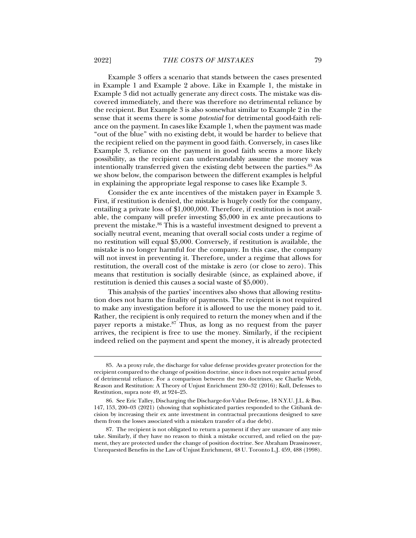Example 3 offers a scenario that stands between the cases presented in Example 1 and Example 2 above. Like in Example 1, the mistake in Example 3 did not actually generate any direct costs. The mistake was discovered immediately, and there was therefore no detrimental reliance by the recipient. But Example 3 is also somewhat similar to Example 2 in the sense that it seems there is some *potential* for detrimental good-faith reliance on the payment. In cases like Example 1, when the payment was made "out of the blue" with no existing debt, it would be harder to believe that the recipient relied on the payment in good faith. Conversely, in cases like Example 3, reliance on the payment in good faith seems a more likely possibility, as the recipient can understandably assume the money was intentionally transferred given the existing debt between the parties.85 As we show below, the comparison between the different examples is helpful in explaining the appropriate legal response to cases like Example 3.

Consider the ex ante incentives of the mistaken payer in Example 3. First, if restitution is denied, the mistake is hugely costly for the company, entailing a private loss of \$1,000,000. Therefore, if restitution is not available, the company will prefer investing \$5,000 in ex ante precautions to prevent the mistake.86 This is a wasteful investment designed to prevent a socially neutral event, meaning that overall social costs under a regime of no restitution will equal \$5,000. Conversely, if restitution is available, the mistake is no longer harmful for the company. In this case, the company will not invest in preventing it. Therefore, under a regime that allows for restitution, the overall cost of the mistake is zero (or close to zero). This means that restitution is socially desirable (since, as explained above, if restitution is denied this causes a social waste of \$5,000).

This analysis of the parties' incentives also shows that allowing restitution does not harm the finality of payments. The recipient is not required to make any investigation before it is allowed to use the money paid to it. Rather, the recipient is only required to return the money when and if the payer reports a mistake. $87$  Thus, as long as no request from the payer arrives, the recipient is free to use the money. Similarly, if the recipient indeed relied on the payment and spent the money, it is already protected

 <sup>85.</sup> As a proxy rule, the discharge for value defense provides greater protection for the recipient compared to the change of position doctrine, since it does not require actual proof of detrimental reliance. For a comparison between the two doctrines, see Charlie Webb, Reason and Restitution: A Theory of Unjust Enrichment 230–32 (2016); Kull, Defenses to Restitution, supra note 49, at 924–25.

 <sup>86.</sup> See Eric Talley, Discharging the Discharge-for-Value Defense, 18 N.Y.U. J.L. & Bus. 147, 153, 200–03 (2021) (showing that sophisticated parties responded to the Citibank decision by increasing their ex ante investment in contractual precautions designed to save them from the losses associated with a mistaken transfer of a due debt).

 <sup>87.</sup> The recipient is not obligated to return a payment if they are unaware of any mistake. Similarly, if they have no reason to think a mistake occurred, and relied on the payment, they are protected under the change of position doctrine. See Abraham Drassinower, Unrequested Benefits in the Law of Unjust Enrichment, 48 U. Toronto L.J. 459, 488 (1998).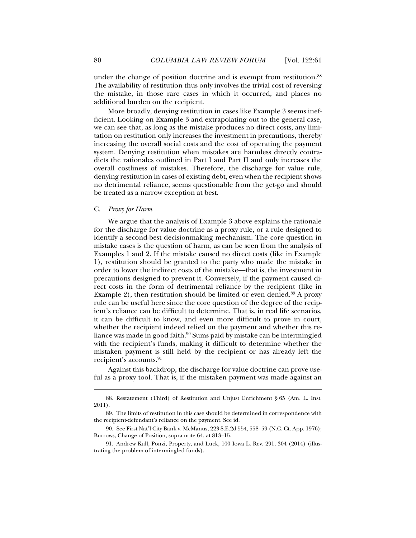under the change of position doctrine and is exempt from restitution.<sup>88</sup> The availability of restitution thus only involves the trivial cost of reversing the mistake, in those rare cases in which it occurred, and places no additional burden on the recipient.

More broadly, denying restitution in cases like Example 3 seems inefficient. Looking on Example 3 and extrapolating out to the general case, we can see that, as long as the mistake produces no direct costs, any limitation on restitution only increases the investment in precautions, thereby increasing the overall social costs and the cost of operating the payment system. Denying restitution when mistakes are harmless directly contradicts the rationales outlined in Part I and Part II and only increases the overall costliness of mistakes. Therefore, the discharge for value rule, denying restitution in cases of existing debt, even when the recipient shows no detrimental reliance, seems questionable from the get-go and should be treated as a narrow exception at best.

# C. *Proxy for Harm*

j

We argue that the analysis of Example 3 above explains the rationale for the discharge for value doctrine as a proxy rule, or a rule designed to identify a second-best decisionmaking mechanism. The core question in mistake cases is the question of harm, as can be seen from the analysis of Examples 1 and 2. If the mistake caused no direct costs (like in Example 1), restitution should be granted to the party who made the mistake in order to lower the indirect costs of the mistake—that is, the investment in precautions designed to prevent it. Conversely, if the payment caused direct costs in the form of detrimental reliance by the recipient (like in Example 2), then restitution should be limited or even denied. $89$  A proxy rule can be useful here since the core question of the degree of the recipient's reliance can be difficult to determine. That is, in real life scenarios, it can be difficult to know, and even more difficult to prove in court, whether the recipient indeed relied on the payment and whether this reliance was made in good faith.<sup>90</sup> Sums paid by mistake can be intermingled with the recipient's funds, making it difficult to determine whether the mistaken payment is still held by the recipient or has already left the recipient's accounts.<sup>91</sup>

Against this backdrop, the discharge for value doctrine can prove useful as a proxy tool. That is, if the mistaken payment was made against an

 <sup>88.</sup> Restatement (Third) of Restitution and Unjust Enrichment § 65 (Am. L. Inst. 2011).

 <sup>89.</sup> The limits of restitution in this case should be determined in correspondence with the recipient-defendant's reliance on the payment. See id.

 <sup>90.</sup> See First Nat'l City Bank v. McManus, 223 S.E.2d 554, 558–59 (N.C. Ct. App. 1976); Burrows, Change of Position, supra note 64, at 813–15.

 <sup>91.</sup> Andrew Kull, Ponzi, Property, and Luck, 100 Iowa L. Rev. 291, 304 (2014) (illustrating the problem of intermingled funds).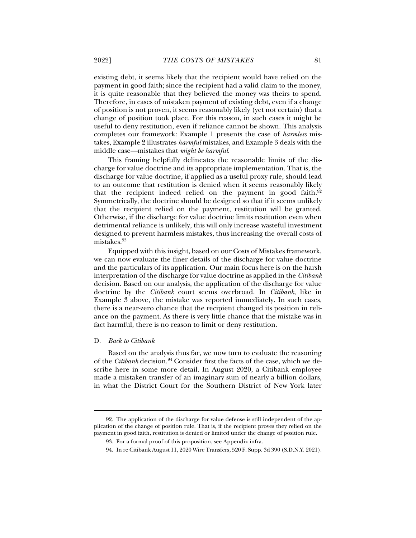existing debt, it seems likely that the recipient would have relied on the payment in good faith; since the recipient had a valid claim to the money, it is quite reasonable that they believed the money was theirs to spend. Therefore, in cases of mistaken payment of existing debt, even if a change of position is not proven, it seems reasonably likely (yet not certain) that a change of position took place. For this reason, in such cases it might be useful to deny restitution, even if reliance cannot be shown. This analysis completes our framework: Example 1 presents the case of *harmless* mistakes, Example 2 illustrates *harmful* mistakes, and Example 3 deals with the middle case—mistakes that *might be harmful*.

This framing helpfully delineates the reasonable limits of the discharge for value doctrine and its appropriate implementation. That is, the discharge for value doctrine, if applied as a useful proxy rule, should lead to an outcome that restitution is denied when it seems reasonably likely that the recipient indeed relied on the payment in good faith. $92$ Symmetrically, the doctrine should be designed so that if it seems unlikely that the recipient relied on the payment, restitution will be granted. Otherwise, if the discharge for value doctrine limits restitution even when detrimental reliance is unlikely, this will only increase wasteful investment designed to prevent harmless mistakes, thus increasing the overall costs of mistakes.93

Equipped with this insight, based on our Costs of Mistakes framework, we can now evaluate the finer details of the discharge for value doctrine and the particulars of its application. Our main focus here is on the harsh interpretation of the discharge for value doctrine as applied in the *Citibank* decision. Based on our analysis, the application of the discharge for value doctrine by the *Citibank* court seems overbroad. In *Citibank*, like in Example 3 above, the mistake was reported immediately. In such cases, there is a near-zero chance that the recipient changed its position in reliance on the payment. As there is very little chance that the mistake was in fact harmful, there is no reason to limit or deny restitution.

### D. *Back to Citibank*

j

Based on the analysis thus far, we now turn to evaluate the reasoning of the *Citibank* decision.<sup>94</sup> Consider first the facts of the case, which we describe here in some more detail. In August 2020, a Citibank employee made a mistaken transfer of an imaginary sum of nearly a billion dollars, in what the District Court for the Southern District of New York later

 <sup>92.</sup> The application of the discharge for value defense is still independent of the application of the change of position rule. That is, if the recipient proves they relied on the payment in good faith, restitution is denied or limited under the change of position rule.

 <sup>93.</sup> For a formal proof of this proposition, see Appendix infra.

 <sup>94.</sup> In re Citibank August 11, 2020 Wire Transfers, 520 F. Supp. 3d 390 (S.D.N.Y. 2021).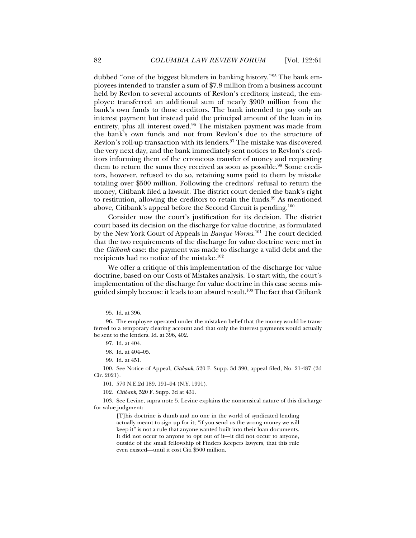dubbed "one of the biggest blunders in banking history."95 The bank employees intended to transfer a sum of \$7.8 million from a business account held by Revlon to several accounts of Revlon's creditors; instead, the employee transferred an additional sum of nearly \$900 million from the bank's own funds to those creditors. The bank intended to pay only an interest payment but instead paid the principal amount of the loan in its entirety, plus all interest owed.<sup>96</sup> The mistaken payment was made from the bank's own funds and not from Revlon's due to the structure of Revlon's roll-up transaction with its lenders. $97$  The mistake was discovered the very next day, and the bank immediately sent notices to Revlon's creditors informing them of the erroneous transfer of money and requesting them to return the sums they received as soon as possible.<sup>98</sup> Some creditors, however, refused to do so, retaining sums paid to them by mistake totaling over \$500 million. Following the creditors' refusal to return the money, Citibank filed a lawsuit. The district court denied the bank's right to restitution, allowing the creditors to retain the funds. $99$  As mentioned above, Citibank's appeal before the Second Circuit is pending.100

Consider now the court's justification for its decision. The district court based its decision on the discharge for value doctrine, as formulated by the New York Court of Appeals in *Banque Worms*. 101 The court decided that the two requirements of the discharge for value doctrine were met in the *Citibank* case: the payment was made to discharge a valid debt and the recipients had no notice of the mistake.102

We offer a critique of this implementation of the discharge for value doctrine, based on our Costs of Mistakes analysis. To start with, the court's implementation of the discharge for value doctrine in this case seems misguided simply because it leads to an absurd result.103 The fact that Citibank

 <sup>95.</sup> Id. at 396.

 <sup>96.</sup> The employee operated under the mistaken belief that the money would be transferred to a temporary clearing account and that only the interest payments would actually be sent to the lenders. Id. at 396, 402.

 <sup>97.</sup> Id. at 404.

 <sup>98.</sup> Id. at 404–05.

 <sup>99.</sup> Id. at 451.

 <sup>100.</sup> See Notice of Appeal, *Citibank*, 520 F. Supp. 3d 390, appeal filed, No. 21-487 (2d Cir. 2021).

 <sup>101. 570</sup> N.E.2d 189, 191–94 (N.Y. 1991).

<sup>102</sup>*. Citibank*, 520 F. Supp. 3d at 431.

 <sup>103.</sup> See Levine, supra note 5. Levine explains the nonsensical nature of this discharge for value judgment:

<sup>[</sup>T]his doctrine is dumb and no one in the world of syndicated lending actually meant to sign up for it; "if you send us the wrong money we will keep it" is not a rule that anyone wanted built into their loan documents. It did not occur to anyone to opt out of it—it did not occur to anyone, outside of the small fellowship of Finders Keepers lawyers, that this rule even existed—until it cost Citi \$500 million.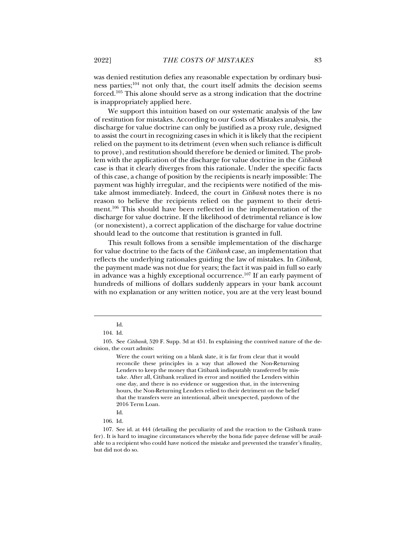was denied restitution defies any reasonable expectation by ordinary business parties;104 not only that, the court itself admits the decision seems forced.105 This alone should serve as a strong indication that the doctrine is inappropriately applied here.

We support this intuition based on our systematic analysis of the law of restitution for mistakes. According to our Costs of Mistakes analysis, the discharge for value doctrine can only be justified as a proxy rule, designed to assist the court in recognizing cases in which it is likely that the recipient relied on the payment to its detriment (even when such reliance is difficult to prove), and restitution should therefore be denied or limited. The problem with the application of the discharge for value doctrine in the *Citibank*  case is that it clearly diverges from this rationale. Under the specific facts of this case, a change of position by the recipients is nearly impossible: The payment was highly irregular, and the recipients were notified of the mistake almost immediately. Indeed, the court in *Citibank* notes there is no reason to believe the recipients relied on the payment to their detriment.106 This should have been reflected in the implementation of the discharge for value doctrine. If the likelihood of detrimental reliance is low (or nonexistent), a correct application of the discharge for value doctrine should lead to the outcome that restitution is granted in full.

This result follows from a sensible implementation of the discharge for value doctrine to the facts of the *Citibank* case, an implementation that reflects the underlying rationales guiding the law of mistakes. In *Citibank*, the payment made was not due for years; the fact it was paid in full so early in advance was a highly exceptional occurrence.107 If an early payment of hundreds of millions of dollars suddenly appears in your bank account with no explanation or any written notice, you are at the very least bound

Id.

 <sup>104.</sup> Id.

 <sup>105.</sup> See *Citibank*, 520 F. Supp. 3d at 451. In explaining the contrived nature of the decision, the court admits:

Were the court writing on a blank slate, it is far from clear that it would reconcile these principles in a way that allowed the Non-Returning Lenders to keep the money that Citibank indisputably transferred by mistake. After all, Citibank realized its error and notified the Lenders within one day, and there is no evidence or suggestion that, in the intervening hours, the Non-Returning Lenders relied to their detriment on the belief that the transfers were an intentional, albeit unexpected, paydown of the 2016 Term Loan.

Id.

 <sup>106.</sup> Id.

 <sup>107.</sup> See id. at 444 (detailing the peculiarity of and the reaction to the Citibank transfer). It is hard to imagine circumstances whereby the bona fide payee defense will be available to a recipient who could have noticed the mistake and prevented the transfer's finality, but did not do so.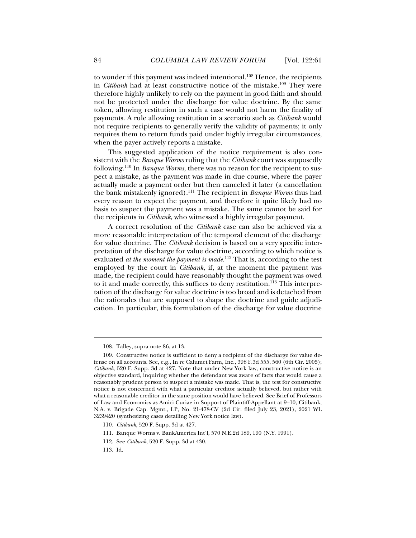to wonder if this payment was indeed intentional.<sup>108</sup> Hence, the recipients in *Citibank* had at least constructive notice of the mistake.<sup>109</sup> They were therefore highly unlikely to rely on the payment in good faith and should not be protected under the discharge for value doctrine. By the same token, allowing restitution in such a case would not harm the finality of payments. A rule allowing restitution in a scenario such as *Citibank* would not require recipients to generally verify the validity of payments; it only requires them to return funds paid under highly irregular circumstances, when the payer actively reports a mistake.

This suggested application of the notice requirement is also consistent with the *Banque Worms* ruling that the *Citibank* court was supposedly following.110 In *Banque Worms*, there was no reason for the recipient to suspect a mistake, as the payment was made in due course, where the payer actually made a payment order but then canceled it later (a cancellation the bank mistakenly ignored).111 The recipient in *Banque Worms* thus had every reason to expect the payment, and therefore it quite likely had no basis to suspect the payment was a mistake. The same cannot be said for the recipients in *Citibank*, who witnessed a highly irregular payment.

A correct resolution of the *Citibank* case can also be achieved via a more reasonable interpretation of the temporal element of the discharge for value doctrine. The *Citibank* decision is based on a very specific interpretation of the discharge for value doctrine, according to which notice is evaluated *at the moment the payment is made*.<sup>112</sup> That is, according to the test employed by the court in *Citibank*, if, at the moment the payment was made, the recipient could have reasonably thought the payment was owed to it and made correctly, this suffices to deny restitution.<sup>113</sup> This interpretation of the discharge for value doctrine is too broad and is detached from the rationales that are supposed to shape the doctrine and guide adjudication. In particular, this formulation of the discharge for value doctrine

113. Id.

 <sup>108.</sup> Talley, supra note 86, at 13.

 <sup>109.</sup> Constructive notice is sufficient to deny a recipient of the discharge for value defense on all accounts. See, e.g., In re Calumet Farm, Inc., 398 F.3d 555, 560 (6th Cir. 2005); *Citibank*, 520 F. Supp. 3d at 427. Note that under New York law, constructive notice is an objective standard, inquiring whether the defendant was aware of facts that would cause a reasonably prudent person to suspect a mistake was made. That is, the test for constructive notice is not concerned with what a particular creditor actually believed, but rather with what a reasonable creditor in the same position would have believed. See Brief of Professors of Law and Economics as Amici Curiae in Support of Plaintiff-Appellant at 9–10, Citibank, N.A. v. Brigade Cap. Mgmt., LP, No. 21-478-CV (2d Cir. filed July 23, 2021), 2021 WL 3239420 (synthesizing cases detailing New York notice law).

<sup>110</sup>*. Citibank*, 520 F. Supp. 3d at 427.

 <sup>111.</sup> Banque Worms v. BankAmerica Int'l, 570 N.E.2d 189, 190 (N.Y. 1991).

 <sup>112.</sup> See *Citibank*, 520 F. Supp. 3d at 430.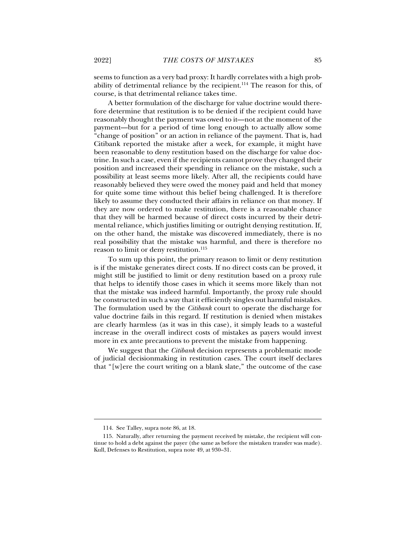seems to function as a very bad proxy: It hardly correlates with a high probability of detrimental reliance by the recipient.114 The reason for this, of course, is that detrimental reliance takes time.

A better formulation of the discharge for value doctrine would therefore determine that restitution is to be denied if the recipient could have reasonably thought the payment was owed to it—not at the moment of the payment—but for a period of time long enough to actually allow some "change of position" or an action in reliance of the payment. That is, had Citibank reported the mistake after a week, for example, it might have been reasonable to deny restitution based on the discharge for value doctrine. In such a case, even if the recipients cannot prove they changed their position and increased their spending in reliance on the mistake, such a possibility at least seems more likely. After all, the recipients could have reasonably believed they were owed the money paid and held that money for quite some time without this belief being challenged. It is therefore likely to assume they conducted their affairs in reliance on that money. If they are now ordered to make restitution, there is a reasonable chance that they will be harmed because of direct costs incurred by their detrimental reliance, which justifies limiting or outright denying restitution. If, on the other hand, the mistake was discovered immediately, there is no real possibility that the mistake was harmful, and there is therefore no reason to limit or deny restitution.<sup>115</sup>

To sum up this point, the primary reason to limit or deny restitution is if the mistake generates direct costs. If no direct costs can be proved, it might still be justified to limit or deny restitution based on a proxy rule that helps to identify those cases in which it seems more likely than not that the mistake was indeed harmful. Importantly, the proxy rule should be constructed in such a way that it efficiently singles out harmful mistakes. The formulation used by the *Citibank* court to operate the discharge for value doctrine fails in this regard. If restitution is denied when mistakes are clearly harmless (as it was in this case), it simply leads to a wasteful increase in the overall indirect costs of mistakes as payers would invest more in ex ante precautions to prevent the mistake from happening.

We suggest that the *Citibank* decision represents a problematic mode of judicial decisionmaking in restitution cases. The court itself declares that "[w]ere the court writing on a blank slate," the outcome of the case

 <sup>114.</sup> See Talley, supra note 86, at 18.

 <sup>115.</sup> Naturally, after returning the payment received by mistake, the recipient will continue to hold a debt against the payer (the same as before the mistaken transfer was made). Kull, Defenses to Restitution, supra note 49, at 930–31.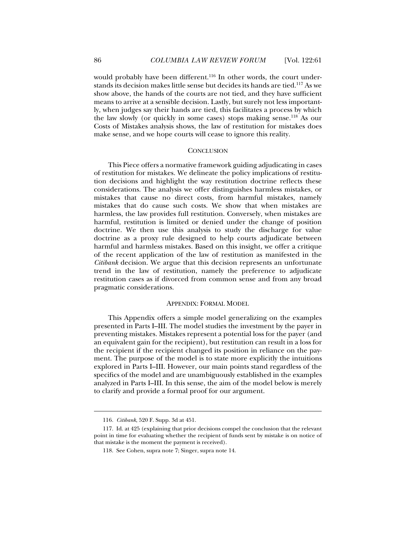would probably have been different.<sup>116</sup> In other words, the court understands its decision makes little sense but decides its hands are tied.117 As we show above, the hands of the courts are not tied, and they have sufficient means to arrive at a sensible decision. Lastly, but surely not less importantly, when judges say their hands are tied, this facilitates a process by which the law slowly (or quickly in some cases) stops making sense.118 As our Costs of Mistakes analysis shows, the law of restitution for mistakes does make sense, and we hope courts will cease to ignore this reality.

## **CONCLUSION**

This Piece offers a normative framework guiding adjudicating in cases of restitution for mistakes. We delineate the policy implications of restitution decisions and highlight the way restitution doctrine reflects these considerations. The analysis we offer distinguishes harmless mistakes, or mistakes that cause no direct costs, from harmful mistakes, namely mistakes that do cause such costs. We show that when mistakes are harmless, the law provides full restitution. Conversely, when mistakes are harmful, restitution is limited or denied under the change of position doctrine. We then use this analysis to study the discharge for value doctrine as a proxy rule designed to help courts adjudicate between harmful and harmless mistakes. Based on this insight, we offer a critique of the recent application of the law of restitution as manifested in the *Citibank* decision. We argue that this decision represents an unfortunate trend in the law of restitution, namely the preference to adjudicate restitution cases as if divorced from common sense and from any broad pragmatic considerations.

# APPENDIX: FORMAL MODEL

This Appendix offers a simple model generalizing on the examples presented in Parts I–III. The model studies the investment by the payer in preventing mistakes. Mistakes represent a potential loss for the payer (and an equivalent gain for the recipient), but restitution can result in a loss for the recipient if the recipient changed its position in reliance on the payment. The purpose of the model is to state more explicitly the intuitions explored in Parts I–III. However, our main points stand regardless of the specifics of the model and are unambiguously established in the examples analyzed in Parts I–III. In this sense, the aim of the model below is merely to clarify and provide a formal proof for our argument.

<sup>116</sup>*. Citibank*, 520 F. Supp. 3d at 451.

 <sup>117.</sup> Id. at 425 (explaining that prior decisions compel the conclusion that the relevant point in time for evaluating whether the recipient of funds sent by mistake is on notice of that mistake is the moment the payment is received).

 <sup>118.</sup> See Cohen, supra note 7; Singer, supra note 14.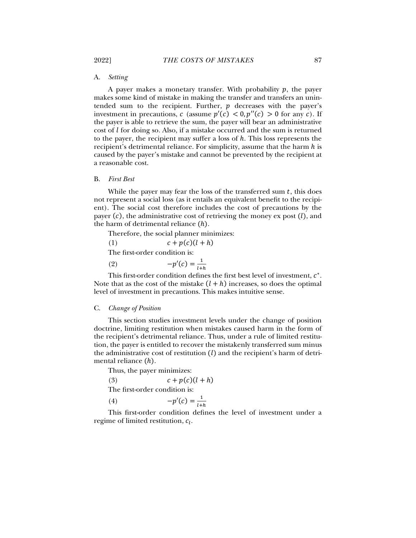# A. *Setting*

A payer makes a monetary transfer. With probability  $p$ , the payer makes some kind of mistake in making the transfer and transfers an unintended sum to the recipient. Further,  $p$  decreases with the payer's investment in precautions, c (assume  $p'(c) < 0, p''(c) > 0$  for any c). If the payer is able to retrieve the sum, the payer will bear an administrative cost of  $l$  for doing so. Also, if a mistake occurred and the sum is returned to the payer, the recipient may suffer a loss of ℎ. This loss represents the recipient's detrimental reliance. For simplicity, assume that the harm  $h$  is caused by the payer's mistake and cannot be prevented by the recipient at a reasonable cost.

### B. *First Best*

While the payer may fear the loss of the transferred sum  $t$ , this does not represent a social loss (as it entails an equivalent benefit to the recipient). The social cost therefore includes the cost of precautions by the payer  $(c)$ , the administrative cost of retrieving the money ex post  $(l)$ , and the harm of detrimental reliance  $(h)$ .

Therefore, the social planner minimizes:

(1)  $c+p(c)(l+h)$ 

The first-order condition is:

(2)  $-p'(c) = \frac{1}{l+h}$ 

This first-order condition defines the first best level of investment,  $c^*$ . Note that as the cost of the mistake  $(l + h)$  increases, so does the optimal level of investment in precautions. This makes intuitive sense.

### C. *Change of Position*

This section studies investment levels under the change of position doctrine, limiting restitution when mistakes caused harm in the form of the recipient's detrimental reliance. Thus, under a rule of limited restitution, the payer is entitled to recover the mistakenly transferred sum minus the administrative cost of restitution  $(l)$  and the recipient's harm of detrimental reliance  $(h)$ .

Thus, the payer minimizes:

(3)  $c+p(c)(l+h)$ 

The first-order condition is:

$$
(4) \qquad \qquad -p'(c) = \frac{1}{l+h}
$$

This first-order condition defines the level of investment under a regime of limited restitution,  $c_l$ .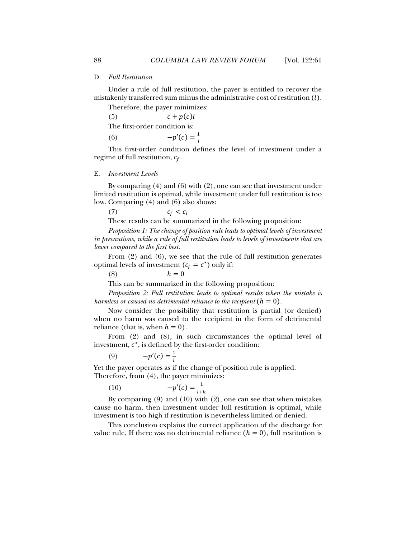## D. *Full Restitution*

Under a rule of full restitution, the payer is entitled to recover the mistakenly transferred sum minus the administrative cost of restitution ().

Therefore, the payer minimizes:

(5)  $c+p(c)l$ 

The first-order condition is:

(6)  $-p'(c) = \frac{1}{l}$ 

This first-order condition defines the level of investment under a regime of full restitution,  $c_f$ .

#### E. *Investment Levels*

By comparing (4) and (6) with (2), one can see that investment under limited restitution is optimal, while investment under full restitution is too low. Comparing (4) and (6) also shows:

(7)  $c_f < c_l$ 

These results can be summarized in the following proposition:

*Proposition 1: The change of position rule leads to optimal levels of investment in precautions, while a rule of full restitution leads to levels of investments that are lower compared to the first best.* 

From (2) and (6), we see that the rule of full restitution generates optimal levels of investment  $(c_f = c^*)$  only if:

(8)  $h=0$ 

This can be summarized in the following proposition:

*Proposition 2: Full restitution leads to optimal results when the mistake is harmless or caused no detrimental reliance to the recipient*  $(h = 0)$ .

Now consider the possibility that restitution is partial (or denied) when no harm was caused to the recipient in the form of detrimental reliance (that is, when  $h=0$ ).

From (2) and (8), in such circumstances the optimal level of investment,  $c^*$ , is defined by the first-order condition:

$$
(9) \qquad \qquad -p'(c) = \frac{1}{l}
$$

Yet the payer operates as if the change of position rule is applied. Therefore, from (4), the payer minimizes:

$$
(10)\qquad \qquad -p'(c) = \frac{1}{l+h}
$$

By comparing  $(9)$  and  $(10)$  with  $(2)$ , one can see that when mistakes cause no harm, then investment under full restitution is optimal, while investment is too high if restitution is nevertheless limited or denied.

This conclusion explains the correct application of the discharge for value rule. If there was no detrimental reliance  $(h = 0)$ , full restitution is